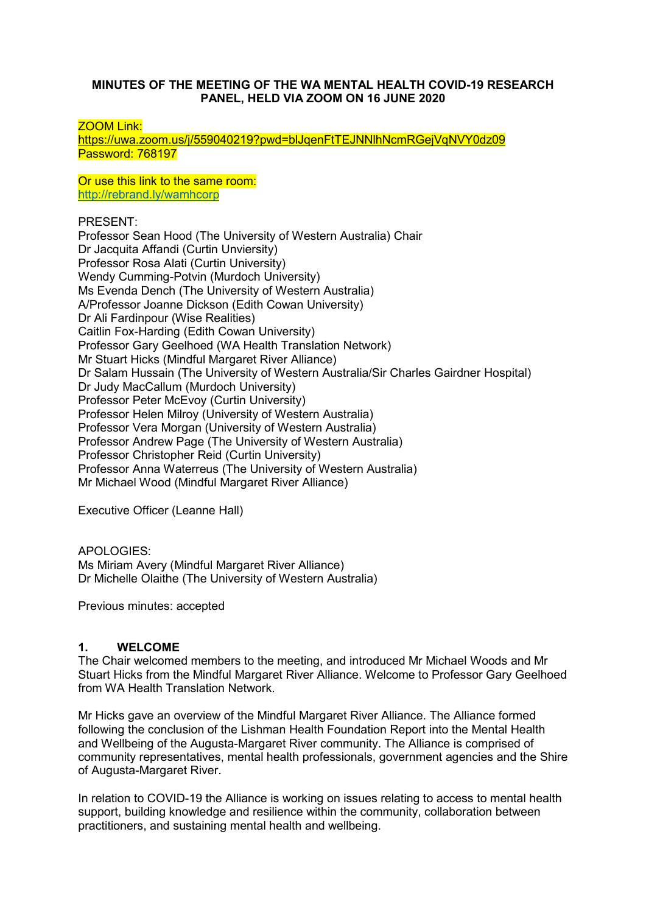#### **MINUTES OF THE MEETING OF THE WA MENTAL HEALTH COVID-19 RESEARCH PANEL, HELD VIA ZOOM ON 16 JUNE 2020**

ZOOM Link:

<https://uwa.zoom.us/j/559040219?pwd=blJqenFtTEJNNlhNcmRGejVqNVY0dz09> Password: 768197

Or use this link to the same room: <http://rebrand.ly/wamhcorp>

PRESENT:

Professor Sean Hood (The University of Western Australia) Chair Dr Jacquita Affandi (Curtin Unviersity) Professor Rosa Alati (Curtin University) Wendy Cumming-Potvin (Murdoch University) Ms Evenda Dench (The University of Western Australia) A/Professor Joanne Dickson (Edith Cowan University) Dr Ali Fardinpour (Wise Realities) Caitlin Fox-Harding (Edith Cowan University) Professor Gary Geelhoed (WA Health Translation Network) Mr Stuart Hicks (Mindful Margaret River Alliance) Dr Salam Hussain (The University of Western Australia/Sir Charles Gairdner Hospital) Dr Judy MacCallum (Murdoch University) Professor Peter McEvoy (Curtin University) Professor Helen Milroy (University of Western Australia) Professor Vera Morgan (University of Western Australia) Professor Andrew Page (The University of Western Australia) Professor Christopher Reid (Curtin University) Professor Anna Waterreus (The University of Western Australia) Mr Michael Wood (Mindful Margaret River Alliance)

Executive Officer (Leanne Hall)

APOLOGIES: Ms Miriam Avery (Mindful Margaret River Alliance) Dr Michelle Olaithe (The University of Western Australia)

Previous minutes: accepted

#### **1. WELCOME**

The Chair welcomed members to the meeting, and introduced Mr Michael Woods and Mr Stuart Hicks from the Mindful Margaret River Alliance. Welcome to Professor Gary Geelhoed from WA Health Translation Network.

Mr Hicks gave an overview of the Mindful Margaret River Alliance. The Alliance formed following the conclusion of the Lishman Health Foundation Report into the Mental Health and Wellbeing of the Augusta-Margaret River community. The Alliance is comprised of community representatives, mental health professionals, government agencies and the Shire of Augusta-Margaret River.

In relation to COVID-19 the Alliance is working on issues relating to access to mental health support, building knowledge and resilience within the community, collaboration between practitioners, and sustaining mental health and wellbeing.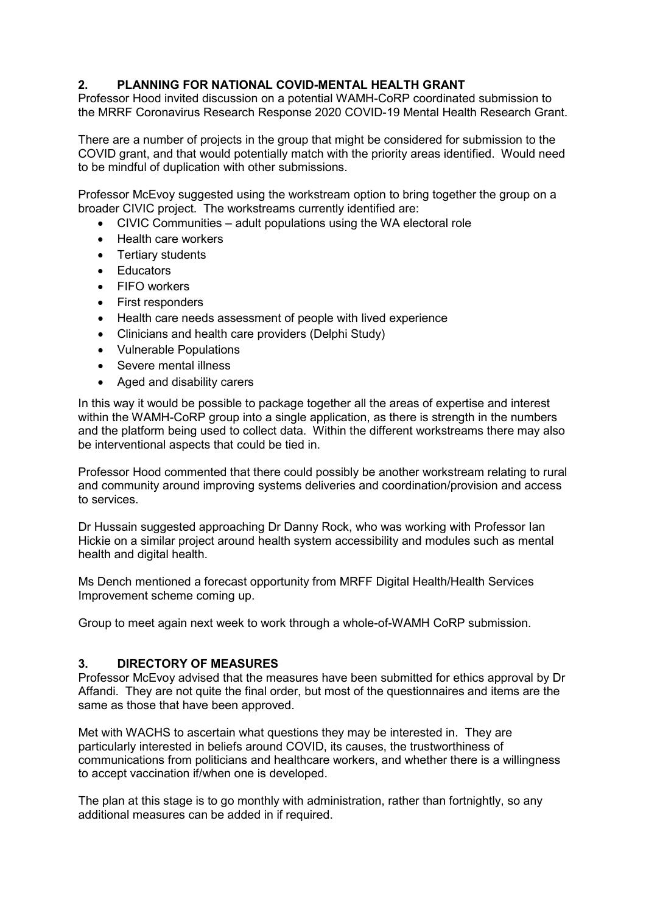## **2. PLANNING FOR NATIONAL COVID-MENTAL HEALTH GRANT**

Professor Hood invited discussion on a potential WAMH-CoRP coordinated submission to the MRRF Coronavirus Research Response 2020 COVID-19 Mental Health Research Grant.

There are a number of projects in the group that might be considered for submission to the COVID grant, and that would potentially match with the priority areas identified. Would need to be mindful of duplication with other submissions.

Professor McEvoy suggested using the workstream option to bring together the group on a broader CIVIC project. The workstreams currently identified are:

- CIVIC Communities adult populations using the WA electoral role
- Health care workers
- Tertiary students
- Educators
- FIFO workers
- First responders
- Health care needs assessment of people with lived experience
- Clinicians and health care providers (Delphi Study)
- Vulnerable Populations
- Severe mental illness
- Aged and disability carers

In this way it would be possible to package together all the areas of expertise and interest within the WAMH-CoRP group into a single application, as there is strength in the numbers and the platform being used to collect data. Within the different workstreams there may also be interventional aspects that could be tied in.

Professor Hood commented that there could possibly be another workstream relating to rural and community around improving systems deliveries and coordination/provision and access to services.

Dr Hussain suggested approaching Dr Danny Rock, who was working with Professor Ian Hickie on a similar project around health system accessibility and modules such as mental health and digital health.

Ms Dench mentioned a forecast opportunity from MRFF Digital Health/Health Services Improvement scheme coming up.

Group to meet again next week to work through a whole-of-WAMH CoRP submission.

#### **3. DIRECTORY OF MEASURES**

Professor McEvoy advised that the measures have been submitted for ethics approval by Dr Affandi. They are not quite the final order, but most of the questionnaires and items are the same as those that have been approved.

Met with WACHS to ascertain what questions they may be interested in. They are particularly interested in beliefs around COVID, its causes, the trustworthiness of communications from politicians and healthcare workers, and whether there is a willingness to accept vaccination if/when one is developed.

The plan at this stage is to go monthly with administration, rather than fortnightly, so any additional measures can be added in if required.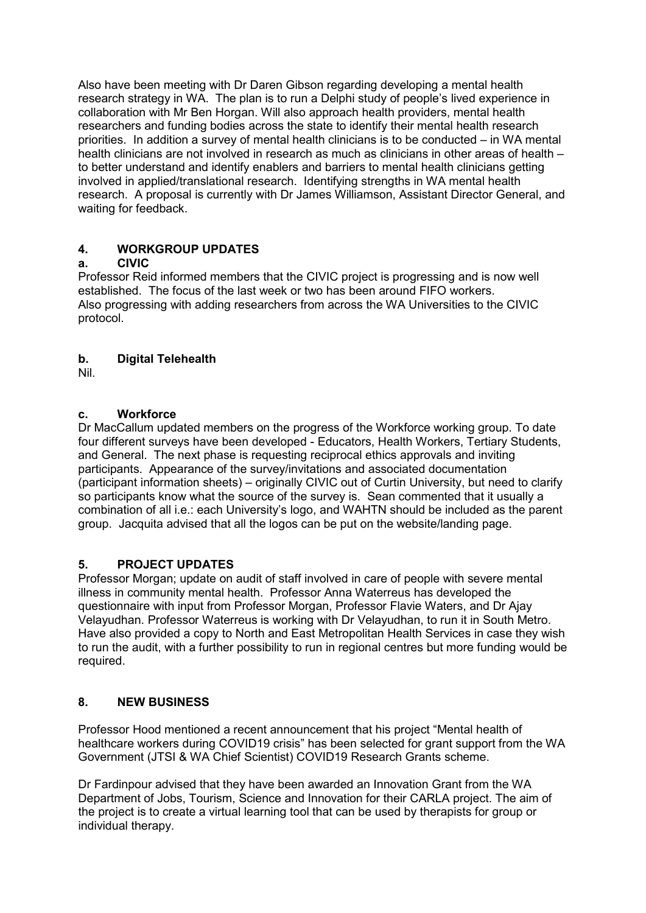Also have been meeting with Dr Daren Gibson regarding developing a mental health research strategy in WA. The plan is to run a Delphi study of people's lived experience in collaboration with Mr Ben Horgan. Will also approach health providers, mental health researchers and funding bodies across the state to identify their mental health research priorities. In addition a survey of mental health clinicians is to be conducted – in WA mental health clinicians are not involved in research as much as clinicians in other areas of health – to better understand and identify enablers and barriers to mental health clinicians getting involved in applied/translational research. Identifying strengths in WA mental health research. A proposal is currently with Dr James Williamson, Assistant Director General, and waiting for feedback.

# **4. WORKGROUP UPDATES**

## **a. CIVIC**

Professor Reid informed members that the CIVIC project is progressing and is now well established. The focus of the last week or two has been around FIFO workers. Also progressing with adding researchers from across the WA Universities to the CIVIC protocol.

## **b. Digital Telehealth**

Nil.

## **c. Workforce**

Dr MacCallum updated members on the progress of the Workforce working group. To date four different surveys have been developed - Educators, Health Workers, Tertiary Students, and General. The next phase is requesting reciprocal ethics approvals and inviting participants. Appearance of the survey/invitations and associated documentation (participant information sheets) – originally CIVIC out of Curtin University, but need to clarify so participants know what the source of the survey is. Sean commented that it usually a combination of all i.e.: each University's logo, and WAHTN should be included as the parent group. Jacquita advised that all the logos can be put on the website/landing page.

## **5. PROJECT UPDATES**

Professor Morgan; update on audit of staff involved in care of people with severe mental illness in community mental health. Professor Anna Waterreus has developed the questionnaire with input from Professor Morgan, Professor Flavie Waters, and Dr Ajay Velayudhan. Professor Waterreus is working with Dr Velayudhan, to run it in South Metro. Have also provided a copy to North and East Metropolitan Health Services in case they wish to run the audit, with a further possibility to run in regional centres but more funding would be required.

## **8. NEW BUSINESS**

Professor Hood mentioned a recent announcement that his project "Mental health of healthcare workers during COVID19 crisis" has been selected for grant support from the WA Government (JTSI & WA Chief Scientist) COVID19 Research Grants scheme.

Dr Fardinpour advised that they have been awarded an Innovation Grant from the WA Department of Jobs, Tourism, Science and Innovation for their CARLA project. The aim of the project is to create a virtual learning tool that can be used by therapists for group or individual therapy.